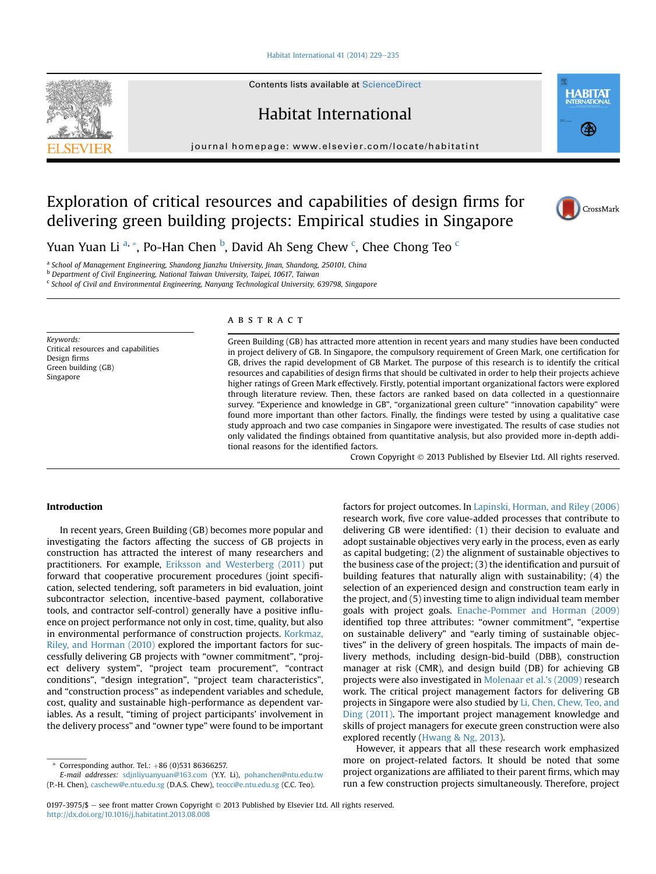[Habitat International 41 \(2014\) 229](http://dx.doi.org/10.1016/j.habitatint.2013.08.008)-[235](http://dx.doi.org/10.1016/j.habitatint.2013.08.008)

Contents lists available at ScienceDirect

Habitat International

journal homepage: [www.elsevier.com/locate/habitatint](http://www.elsevier.com/locate/habitatint)

# Exploration of critical resources and capabilities of design firms for delivering green building projects: Empirical studies in Singapore



**HABITAT** 

④

Yuan Yuan Li <sup>a,</sup> \*, Po-Han Chen <sup>b</sup>, David Ah Seng Chew <sup>c</sup>, Chee Chong Teo <sup>c</sup>

<sup>a</sup> School of Management Engineering, Shandong Jianzhu University, Jinan, Shandong, 250101, China

<sup>b</sup> Department of Civil Engineering, National Taiwan University, Taipei, 10617, Taiwan

<sup>c</sup> School of Civil and Environmental Engineering, Nanyang Technological University, 639798, Singapore

Keywords: Critical resources and capabilities Design firms Green building (GB) Singapore

#### **ABSTRACT**

Green Building (GB) has attracted more attention in recent years and many studies have been conducted in project delivery of GB. In Singapore, the compulsory requirement of Green Mark, one certification for GB, drives the rapid development of GB Market. The purpose of this research is to identify the critical resources and capabilities of design firms that should be cultivated in order to help their projects achieve higher ratings of Green Mark effectively. Firstly, potential important organizational factors were explored through literature review. Then, these factors are ranked based on data collected in a questionnaire survey. "Experience and knowledge in GB", "organizational green culture" "innovation capability" were found more important than other factors. Finally, the findings were tested by using a qualitative case study approach and two case companies in Singapore were investigated. The results of case studies not only validated the findings obtained from quantitative analysis, but also provided more in-depth additional reasons for the identified factors.

Crown Copyright © 2013 Published by Elsevier Ltd. All rights reserved.

## Introduction

In recent years, Green Building (GB) becomes more popular and investigating the factors affecting the success of GB projects in construction has attracted the interest of many researchers and practitioners. For example, Eriksson and Westerberg (2011) put forward that cooperative procurement procedures (joint specification, selected tendering, soft parameters in bid evaluation, joint subcontractor selection, incentive-based payment, collaborative tools, and contractor self-control) generally have a positive influence on project performance not only in cost, time, quality, but also in environmental performance of construction projects. Korkmaz, Riley, and Horman (2010) explored the important factors for successfully delivering GB projects with "owner commitment", "project delivery system", "project team procurement", "contract conditions", "design integration", "project team characteristics", and "construction process" as independent variables and schedule, cost, quality and sustainable high-performance as dependent variables. As a result, "timing of project participants' involvement in the delivery process" and "owner type" were found to be important

However, it appears that all these research work emphasized more on project-related factors. It should be noted that some project organizations are affiliated to their parent firms, which may run a few construction projects simultaneously. Therefore, project



<sup>\*</sup> Corresponding author. Tel.:  $+86$  (0)531 86366257.

E-mail addresses: [sdjnliyuanyuan@163.com](mailto:sdjnliyuanyuan@163.com) (Y.Y. Li), [pohanchen@ntu.edu.tw](mailto:pohanchen@ntu.edu.tw) (P.-H. Chen), [caschew@e.ntu.edu.sg](mailto:caschew@e.ntu.edu.sg) (D.A.S. Chew), [teocc@e.ntu.edu.sg](mailto:teocc@e.ntu.edu.sg) (C.C. Teo).

factors for project outcomes. In Lapinski, Horman, and Riley (2006) research work, five core value-added processes that contribute to delivering GB were identified: (1) their decision to evaluate and adopt sustainable objectives very early in the process, even as early as capital budgeting; (2) the alignment of sustainable objectives to the business case of the project; (3) the identification and pursuit of building features that naturally align with sustainability; (4) the selection of an experienced design and construction team early in the project, and (5) investing time to align individual team member goals with project goals. Enache-Pommer and Horman (2009) identified top three attributes: "owner commitment", "expertise on sustainable delivery" and "early timing of sustainable objectives" in the delivery of green hospitals. The impacts of main delivery methods, including design-bid-build (DBB), construction manager at risk (CMR), and design build (DB) for achieving GB projects were also investigated in Molenaar et al.'s (2009) research work. The critical project management factors for delivering GB projects in Singapore were also studied by Li, Chen, Chew, Teo, and Ding (2011). The important project management knowledge and skills of project managers for execute green construction were also explored recently (Hwang & Ng, 2013).

<sup>0197-3975/\$ -</sup> see front matter Crown Copyright  $@$  2013 Published by Elsevier Ltd. All rights reserved. <http://dx.doi.org/10.1016/j.habitatint.2013.08.008>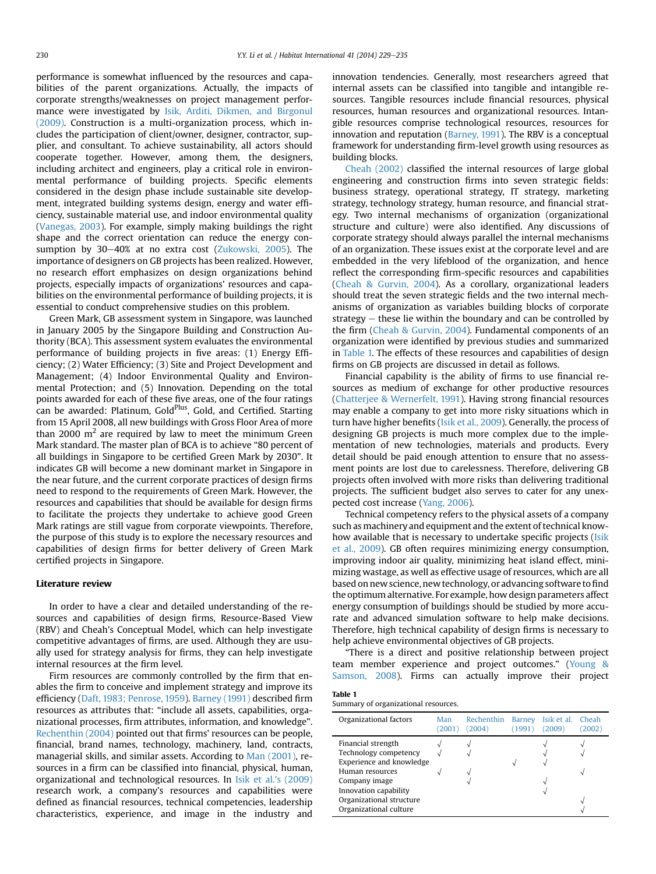performance is somewhat influenced by the resources and capabilities of the parent organizations. Actually, the impacts of corporate strengths/weaknesses on project management performance were investigated by Isik, Arditi, Dikmen, and Birgonul (2009). Construction is a multi-organization process, which includes the participation of client/owner, designer, contractor, supplier, and consultant. To achieve sustainability, all actors should cooperate together. However, among them, the designers, including architect and engineers, play a critical role in environmental performance of building projects. Specific elements considered in the design phase include sustainable site development, integrated building systems design, energy and water efficiency, sustainable material use, and indoor environmental quality (Vanegas, 2003). For example, simply making buildings the right shape and the correct orientation can reduce the energy consumption by 30–40% at no extra cost (Zukowski, 2005). The importance of designers on GB projects has been realized. However, no research effort emphasizes on design organizations behind projects, especially impacts of organizations' resources and capabilities on the environmental performance of building projects, it is essential to conduct comprehensive studies on this problem.

Green Mark, GB assessment system in Singapore, was launched in January 2005 by the Singapore Building and Construction Authority (BCA). This assessment system evaluates the environmental performance of building projects in five areas: (1) Energy Efficiency; (2) Water Efficiency; (3) Site and Project Development and Management; (4) Indoor Environmental Quality and Environmental Protection; and (5) Innovation. Depending on the total points awarded for each of these five areas, one of the four ratings can be awarded: Platinum, Gold<sup>Plus</sup>, Gold, and Certified. Starting from 15 April 2008, all new buildings with Gross Floor Area of more than 2000  $m<sup>2</sup>$  are required by law to meet the minimum Green Mark standard. The master plan of BCA is to achieve "80 percent of all buildings in Singapore to be certified Green Mark by 2030". It indicates GB will become a new dominant market in Singapore in the near future, and the current corporate practices of design firms need to respond to the requirements of Green Mark. However, the resources and capabilities that should be available for design firms to facilitate the projects they undertake to achieve good Green Mark ratings are still vague from corporate viewpoints. Therefore, the purpose of this study is to explore the necessary resources and capabilities of design firms for better delivery of Green Mark certified projects in Singapore.

### Literature review

In order to have a clear and detailed understanding of the resources and capabilities of design firms, Resource-Based View (RBV) and Cheah's Conceptual Model, which can help investigate competitive advantages of firms, are used. Although they are usually used for strategy analysis for firms, they can help investigate internal resources at the firm level.

Firm resources are commonly controlled by the firm that enables the firm to conceive and implement strategy and improve its efficiency (Daft, 1983; Penrose, 1959). Barney (1991) described firm resources as attributes that: "include all assets, capabilities, organizational processes, firm attributes, information, and knowledge". Rechenthin (2004) pointed out that firms' resources can be people, financial, brand names, technology, machinery, land, contracts, managerial skills, and similar assets. According to Man (2001), resources in a firm can be classified into financial, physical, human, organizational and technological resources. In Isik et al.'s (2009) research work, a company's resources and capabilities were defined as financial resources, technical competencies, leadership characteristics, experience, and image in the industry and innovation tendencies. Generally, most researchers agreed that internal assets can be classified into tangible and intangible resources. Tangible resources include financial resources, physical resources, human resources and organizational resources. Intangible resources comprise technological resources, resources for innovation and reputation (Barney, 1991). The RBV is a conceptual framework for understanding firm-level growth using resources as building blocks.

Cheah (2002) classified the internal resources of large global engineering and construction firms into seven strategic fields: business strategy, operational strategy, IT strategy, marketing strategy, technology strategy, human resource, and financial strategy. Two internal mechanisms of organization (organizational structure and culture) were also identified. Any discussions of corporate strategy should always parallel the internal mechanisms of an organization. These issues exist at the corporate level and are embedded in the very lifeblood of the organization, and hence reflect the corresponding firm-specific resources and capabilities (Cheah & Gurvin, 2004). As a corollary, organizational leaders should treat the seven strategic fields and the two internal mechanisms of organization as variables building blocks of corporate strategy  $-$  these lie within the boundary and can be controlled by the firm (Cheah & Gurvin, 2004). Fundamental components of an organization were identified by previous studies and summarized in Table 1. The effects of these resources and capabilities of design firms on GB projects are discussed in detail as follows.

Financial capability is the ability of firms to use financial resources as medium of exchange for other productive resources (Chatterjee & Wernerfelt, 1991). Having strong financial resources may enable a company to get into more risky situations which in turn have higher benefits (Isik et al., 2009). Generally, the process of designing GB projects is much more complex due to the implementation of new technologies, materials and products. Every detail should be paid enough attention to ensure that no assessment points are lost due to carelessness. Therefore, delivering GB projects often involved with more risks than delivering traditional projects. The sufficient budget also serves to cater for any unexpected cost increase (Yang, 2006).

Technical competency refers to the physical assets of a company such as machinery and equipment and the extent of technical knowhow available that is necessary to undertake specific projects (Isik et al., 2009). GB often requires minimizing energy consumption, improving indoor air quality, minimizing heat island effect, minimizing wastage, as well as effective usage of resources, which are all based on new science, new technology, or advancing software tofind the optimum alternative. For example, how design parameters affect energy consumption of buildings should be studied by more accurate and advanced simulation software to help make decisions. Therefore, high technical capability of design firms is necessary to help achieve environmental objectives of GB projects.

"There is a direct and positive relationship between project team member experience and project outcomes." (Young & Samson, 2008). Firms can actually improve their project

Summary of organizational resources.

| Man<br>(2001) | Rechenthin<br>(2004) | <b>Barney</b><br>(1991) | Isik et al.<br>(2009) | Cheah<br>(2002) |
|---------------|----------------------|-------------------------|-----------------------|-----------------|
|               |                      |                         |                       |                 |
|               |                      |                         |                       |                 |
|               |                      |                         |                       |                 |
|               |                      |                         |                       |                 |
|               |                      |                         |                       |                 |
|               |                      |                         |                       |                 |
|               |                      |                         |                       |                 |
|               |                      |                         |                       |                 |
|               |                      |                         |                       |                 |